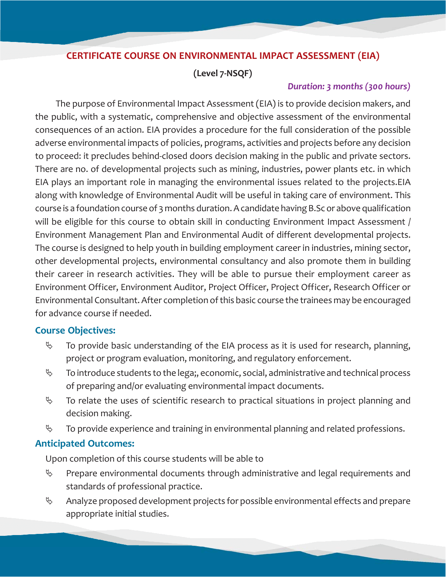# **CERTIFICATE COURSE ON ENVIRONMENTAL IMPACT ASSESSMENT (EIA)**

**(Level 7-NSQF)**

### *Duration: 3 months (300 hours)*

The purpose of Environmental Impact Assessment (EIA) is to provide decision makers, and the public, with a systematic, comprehensive and objective assessment of the environmental consequences of an action. EIA provides a procedure for the full consideration of the possible adverse environmental impacts of policies, programs, activities and projects before any decision to proceed: it precludes behind-closed doors decision making in the public and private sectors. There are no. of developmental projects such as mining, industries, power plants etc. in which EIA plays an important role in managing the environmental issues related to the projects.EIA along with knowledge of Environmental Audit will be useful in taking care of environment. This course is a foundation course of 3 months duration. A candidate having B.Sc or above qualification will be eligible for this course to obtain skill in conducting Environment Impact Assessment / Environment Management Plan and Environmental Audit of different developmental projects. The course is designed to help youth in building employment career in industries, mining sector, other developmental projects, environmental consultancy and also promote them in building their career in research activities. They will be able to pursue their employment career as Environment Officer, Environment Auditor, Project Officer, Project Officer, Research Officer or Environmental Consultant. After completion of this basic course the trainees may be encouraged for advance course if needed.

# **Course Objectives:**

- $\%$  To provide basic understanding of the EIA process as it is used for research, planning, project or program evaluation, monitoring, and regulatory enforcement.
- $\%$  To introduce students to the lega;, economic, social, administrative and technical process of preparing and/or evaluating environmental impact documents.
- $\%$  To relate the uses of scientific research to practical situations in project planning and decision making.
- $\%$  To provide experience and training in environmental planning and related professions.

# **Anticipated Outcomes:**

Upon completion of this course students will be able to

- $\%$  Prepare environmental documents through administrative and legal requirements and standards of professional practice.
- $\%$  Analyze proposed development projects for possible environmental effects and prepare appropriate initial studies.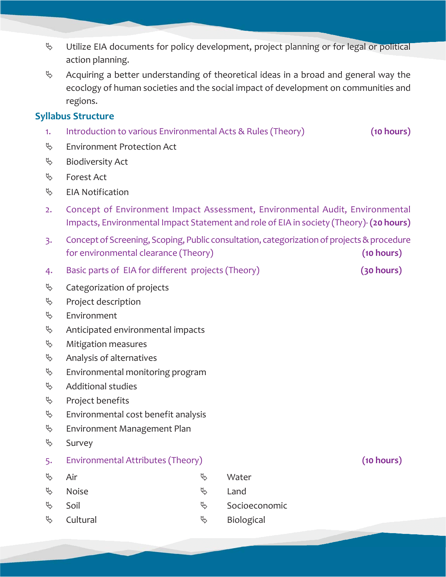- $\%$  Utilize EIA documents for policy development, project planning or for legal or political action planning.
- $\%$  Acquiring a better understanding of theoretical ideas in a broad and general way the ecoclogy of human societies and the social impact of development on communities and regions.

### **Syllabus Structure**

- 1. Introduction to various Environmental Acts & Rules (Theory) **(10 hours)**
- ª Environment Protection Act
- $\%$  Biodiversity Act
- ª Forest Act
- $\%$  EIA Notification
- 2. Concept of Environment Impact Assessment, Environmental Audit, Environmental Impacts, Environmental Impact Statement and role of EIA in society (Theory)- **(20 hours)**
- 3. Concept of Screening, Scoping, Public consultation, categorization of projects & procedure for environmental clearance (Theory) **(10 hours)**
- 4. Basic parts of EIA for different projects (Theory) **(30 hours)**
- $\%$  Categorization of projects
- $\%$  Project description
- $\&$  Environment
- $\&$  Anticipated environmental impacts
- $\%$  Mitigation measures
- $\%$  Analysis of alternatives
- $\&$  Environmental monitoring program
- $\%$  Additional studies
- $\%$  Project benefits
- $\&$  Environmental cost benefit analysis
- $\%$  Environment Management Plan
- $\mathfrak{g}$  Survey
- 5. Environmental Attributes (Theory) **(10 hours)**
- $\uplus$  Air  $\uplus$  Water  $\overset{\text{\tiny{(1)}}}{\rightarrow}$  Noise  $\overset{\text{\tiny{(2)}}}{\rightarrow}$  Land  $\uplus$  Soil  $\uplus$  Socioeconomic  $\&$  Cultural  $\&$  Biological